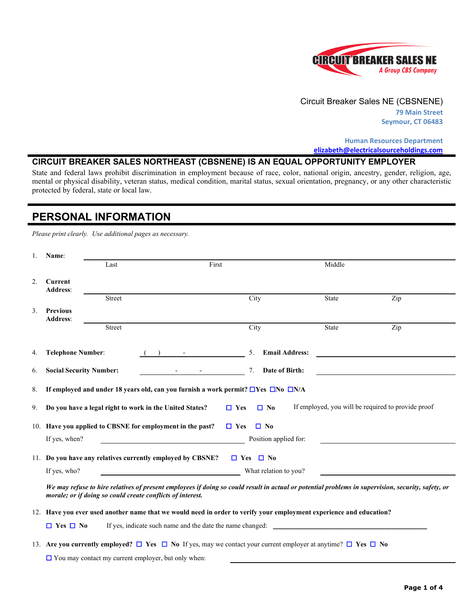

#### Circuit Breaker Sales NE (CBSNENE)

**79 Main Street Seymour, CT 06483**

**Human Resources Department [elizabeth@electricalsourceholdings.com](mailto:%20elizabeth@electricalsourceholdings.com)**

#### **CIRCUIT BREAKER SALES NORTHEAST (CBSNENE) IS AN EQUAL OPPORTUNITY EMPLOYER**

State and federal laws prohibit discrimination in employment because of race, color, national origin, ancestry, gender, religion, age, mental or physical disability, veteran status, medical condition, marital status, sexual orientation, pregnancy, or any other characteristic protected by federal, state or local law.

#### **PERSONAL INFORMATION**

*Please print clearly. Use additional pages as necessary.*

|    | Name:                              |                                                            |                                                                                                                                    |                             |                                                    |                                                                                                                                                    |
|----|------------------------------------|------------------------------------------------------------|------------------------------------------------------------------------------------------------------------------------------------|-----------------------------|----------------------------------------------------|----------------------------------------------------------------------------------------------------------------------------------------------------|
|    |                                    | Last                                                       | First                                                                                                                              |                             | Middle                                             |                                                                                                                                                    |
| 2. | Current<br><b>Address:</b>         |                                                            |                                                                                                                                    |                             |                                                    |                                                                                                                                                    |
|    |                                    | <b>Street</b>                                              |                                                                                                                                    | City                        | State                                              | Zip                                                                                                                                                |
| 3. | <b>Previous</b><br><b>Address:</b> |                                                            |                                                                                                                                    |                             |                                                    |                                                                                                                                                    |
|    |                                    | <b>Street</b>                                              |                                                                                                                                    | City                        | State                                              | Zip                                                                                                                                                |
| 4. | <b>Telephone Number:</b>           |                                                            |                                                                                                                                    | 5.<br><b>Email Address:</b> |                                                    |                                                                                                                                                    |
| 6. | <b>Social Security Number:</b>     |                                                            |                                                                                                                                    | Date of Birth:<br>7.        |                                                    |                                                                                                                                                    |
| 8. |                                    |                                                            | If employed and under 18 years old, can you furnish a work permit? $\square$ Yes $\square$ No $\square$ N/A                        |                             |                                                    |                                                                                                                                                    |
| 9. |                                    |                                                            | Do you have a legal right to work in the United States?                                                                            | $\Box$ Yes<br>$\Box$ No     | If employed, you will be required to provide proof |                                                                                                                                                    |
|    |                                    |                                                            | 10. Have you applied to CBSNE for employment in the past?                                                                          | $\Box$ Yes<br>$\Box$ No     |                                                    |                                                                                                                                                    |
|    | If yes, when?                      |                                                            |                                                                                                                                    | Position applied for:       |                                                    |                                                                                                                                                    |
|    |                                    |                                                            | 11. Do you have any relatives currently employed by CBSNE?                                                                         | $\Box$ Yes $\Box$ No        |                                                    |                                                                                                                                                    |
|    | If yes, who?                       |                                                            |                                                                                                                                    | What relation to you?       |                                                    |                                                                                                                                                    |
|    |                                    | morale; or if doing so could create conflicts of interest. |                                                                                                                                    |                             |                                                    | We may refuse to hire relatives of present employees if doing so could result in actual or potential problems in supervision, security, safety, or |
|    |                                    |                                                            | 12. Have you ever used another name that we would need in order to verify your employment experience and education?                |                             |                                                    |                                                                                                                                                    |
|    | $\Box$ Yes $\Box$ No               |                                                            |                                                                                                                                    |                             |                                                    |                                                                                                                                                    |
|    |                                    |                                                            | 13. Are you currently employed? $\Box$ Yes $\Box$ No If yes, may we contact your current employer at anytime? $\Box$ Yes $\Box$ No |                             |                                                    |                                                                                                                                                    |
|    |                                    | $\Box$ You may contact my current employer, but only when: |                                                                                                                                    |                             |                                                    |                                                                                                                                                    |

**Page 1 of 4**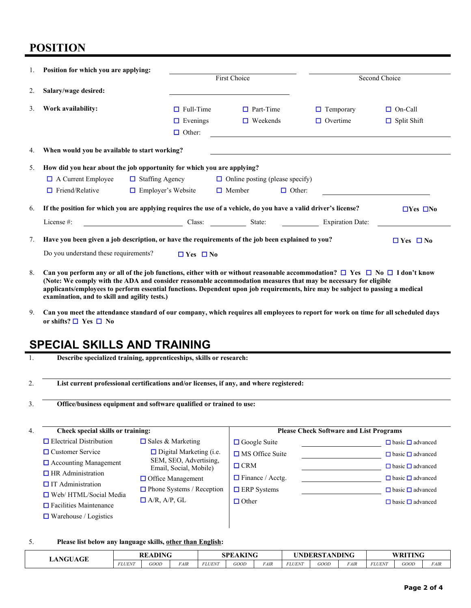### **POSITION**

| 1. | Position for which you are applying:          |                                                                                                                 |                                        |                                                                                                                                                                                                                                      |                         |                      |  |
|----|-----------------------------------------------|-----------------------------------------------------------------------------------------------------------------|----------------------------------------|--------------------------------------------------------------------------------------------------------------------------------------------------------------------------------------------------------------------------------------|-------------------------|----------------------|--|
|    |                                               |                                                                                                                 | First Choice                           |                                                                                                                                                                                                                                      | Second Choice           |                      |  |
| 2. | Salary/wage desired:                          |                                                                                                                 |                                        |                                                                                                                                                                                                                                      |                         |                      |  |
| 3. | Work availability:                            | $\Box$ Full-Time                                                                                                | $\Box$ Part-Time                       |                                                                                                                                                                                                                                      | Temporary<br>$\Box$     | $\Box$ On-Call       |  |
|    |                                               | $\Box$ Evenings                                                                                                 | $\Box$ Weekends                        |                                                                                                                                                                                                                                      | $\Box$ Overtime         | $\Box$ Split Shift   |  |
|    |                                               | $\Box$ Other:                                                                                                   |                                        |                                                                                                                                                                                                                                      |                         |                      |  |
| 4. | When would you be available to start working? |                                                                                                                 |                                        |                                                                                                                                                                                                                                      |                         |                      |  |
| 5. |                                               | How did you hear about the job opportunity for which you are applying?                                          |                                        |                                                                                                                                                                                                                                      |                         |                      |  |
|    | $\Box$ A Current Employee                     | $\Box$ Staffing Agency                                                                                          | $\Box$ Online posting (please specify) |                                                                                                                                                                                                                                      |                         |                      |  |
|    | Friend/Relative<br>n.                         | $\Box$ Employer's Website                                                                                       | $\Box$ Member                          | $\Box$ Other:                                                                                                                                                                                                                        |                         |                      |  |
| 6. |                                               | If the position for which you are applying requires the use of a vehicle, do you have a valid driver's license? |                                        |                                                                                                                                                                                                                                      |                         | $\Box$ Yes $\Box$ No |  |
|    | License #:                                    |                                                                                                                 | Class: State:                          | <u>and the state of the state of the state of the state of the state of the state of the state of the state of the state of the state of the state of the state of the state of the state of the state of the state of the state</u> | <b>Expiration Date:</b> |                      |  |
| 7. |                                               | Have you been given a job description, or have the requirements of the job been explained to you?               |                                        |                                                                                                                                                                                                                                      |                         | $\Box$ Yes $\Box$ No |  |
|    | Do you understand these requirements?         | $\Box$ Yes $\Box$ No                                                                                            |                                        |                                                                                                                                                                                                                                      |                         |                      |  |
|    |                                               |                                                                                                                 |                                        |                                                                                                                                                                                                                                      |                         |                      |  |

- 8. **Can you perform any or all of the job functions, either with or without reasonable accommodation?** ☐ **Yes** ☐ **No** ☐ **I don't know (Note: We comply with the ADA and consider reasonable accommodation measures that may be necessary for eligible applicants/employees to perform essential functions. Dependent upon job requirements, hire may be subject to passing a medical examination, and to skill and agility tests.)**
- 9. **Can you meet the attendance standard of our company, which requires all employees to report for work on time for all scheduled days or shifts?** ☐ **Yes** ☐ **No**

## **SPECIAL SKILLS AND TRAINING**

1. **Describe specialized training, apprenticeships, skills or research:**

2. **List current professional certifications and/or licenses, if any, and where registered:**

3. **Office/business equipment and software qualified or trained to use:**

| 4. | Check special skills or training:                             |                                                  |                         | <b>Please Check Software and List Programs</b> |                              |
|----|---------------------------------------------------------------|--------------------------------------------------|-------------------------|------------------------------------------------|------------------------------|
|    | $\Box$ Electrical Distribution                                | $\Box$ Sales & Marketing                         | $\Box$ Google Suite     |                                                | $\Box$ basic $\Box$ advanced |
|    | $\Box$ Customer Service                                       | $\Box$ Digital Marketing (i.e.                   | $\Box$ MS Office Suite  |                                                | $\Box$ basic $\Box$ advanced |
|    | $\Box$ Accounting Management                                  | SEM, SEO, Advertising,<br>Email, Social, Mobile) | $\Box$ CRM              |                                                | $\Box$ basic $\Box$ advanced |
|    | $\Box$ HR Administration                                      | $\Box$ Office Management                         | $\Box$ Finance / Acctg. |                                                | $\Box$ basic $\Box$ advanced |
|    | $\Box$ IT Administration                                      | $\Box$ Phone Systems / Reception                 | $\Box$ ERP Systems      |                                                | $\Box$ basic $\Box$ advanced |
|    | $\Box$ Web/HTML/Social Media<br>$\Box$ Facilities Maintenance | $\Box$ A/R, A/P, GL                              | $\Box$ Other            |                                                | $\Box$ basic $\Box$ advanced |
|    | $\Box$ Warehouse / Logistics                                  |                                                  |                         |                                                |                              |

#### 5. **Please list below any language skills, other than English:**

| <b>NGUAGE</b> | <b>READING</b> |      |             | AKING<br>SPE. |      | UNDERSTANDING |               |      | WRITING     |               |             |      |
|---------------|----------------|------|-------------|---------------|------|---------------|---------------|------|-------------|---------------|-------------|------|
| LAF           | <b>FLUENT</b>  | GOOD | <i>FAIR</i> | <b>FLUENT</b> | GOOD | <b>FAIR</b>   | <i>FLUENT</i> | GOOD | <i>FAIR</i> | <b>FLUENT</b> | <b>GOOD</b> | FAIR |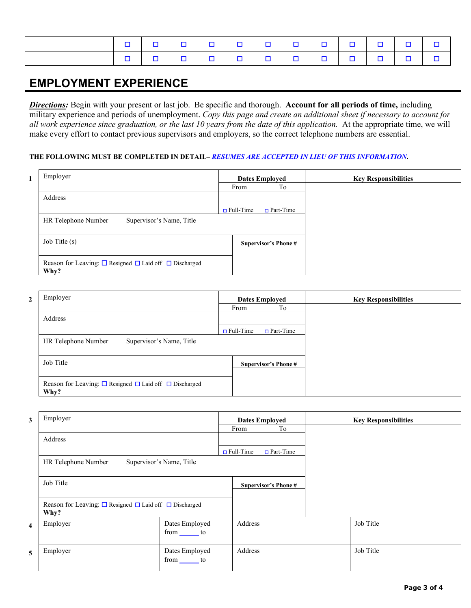|  |  |  |  |  | 0 0 0 0 0 0 0 0 0 0 0 0 0 0 |  |
|--|--|--|--|--|-----------------------------|--|
|  |  |  |  |  |                             |  |

## **EMPLOYMENT EXPERIENCE**

*Directions:* Begin with your present or last job. Be specific and thorough. **Account for all periods of time,** including military experience and periods of unemployment. *Copy this page and create an additional sheet if necessary to account for all work experience since graduation, or the last 10 years from the date of this application.* At the appropriate time, we will make every effort to contact previous supervisors and employers, so the correct telephone numbers are essential.

#### **THE FOLLOWING MUST BE COMPLETED IN DETAIL–** *RESUMES ARE ACCEPTED IN LIEU OF THIS INFORMATION***.**

| Employer            |                                                                       |                  | <b>Dates Employed</b>      | <b>Key Responsibilities</b> |
|---------------------|-----------------------------------------------------------------------|------------------|----------------------------|-----------------------------|
|                     |                                                                       | From             | To                         |                             |
| Address             |                                                                       |                  |                            |                             |
|                     |                                                                       | $\Box$ Full-Time | $Part-Time$                |                             |
| HR Telephone Number | Supervisor's Name, Title                                              |                  |                            |                             |
| Job Title (s)       |                                                                       |                  | <b>Supervisor's Phone#</b> |                             |
| Why?                | Reason for Leaving: $\Box$ Resigned $\Box$ Laid off $\Box$ Discharged |                  |                            |                             |

| Employer            |                                                                       |                  | <b>Dates Employed</b>       | <b>Key Responsibilities</b> |
|---------------------|-----------------------------------------------------------------------|------------------|-----------------------------|-----------------------------|
|                     |                                                                       | From             | To                          |                             |
| Address             |                                                                       |                  |                             |                             |
|                     |                                                                       | $\Box$ Full-Time | $\Box$ Part-Time            |                             |
| HR Telephone Number | Supervisor's Name, Title                                              |                  |                             |                             |
| Job Title           |                                                                       |                  | <b>Supervisor's Phone #</b> |                             |
| Why?                | Reason for Leaving: $\Box$ Resigned $\Box$ Laid off $\Box$ Discharged |                  |                             |                             |

| 3                       | Employer                                                                      |  |                           |                  | <b>Dates Employed</b>       | <b>Key Responsibilities</b> |
|-------------------------|-------------------------------------------------------------------------------|--|---------------------------|------------------|-----------------------------|-----------------------------|
|                         |                                                                               |  |                           | From             | To                          |                             |
|                         | Address                                                                       |  |                           |                  |                             |                             |
|                         |                                                                               |  |                           | $\Box$ Full-Time | $\Box$ Part-Time            |                             |
|                         | HR Telephone Number<br>Supervisor's Name, Title                               |  |                           |                  |                             |                             |
|                         | Job Title                                                                     |  |                           |                  | <b>Supervisor's Phone #</b> |                             |
|                         | Reason for Leaving: $\Box$ Resigned $\Box$ Laid off $\Box$ Discharged<br>Why? |  |                           |                  |                             |                             |
| $\overline{\mathbf{4}}$ | Employer                                                                      |  | Dates Employed<br>from to | Address          |                             | Job Title                   |
| 5                       | Employer                                                                      |  | Dates Employed<br>from to | Address          |                             | Job Title                   |